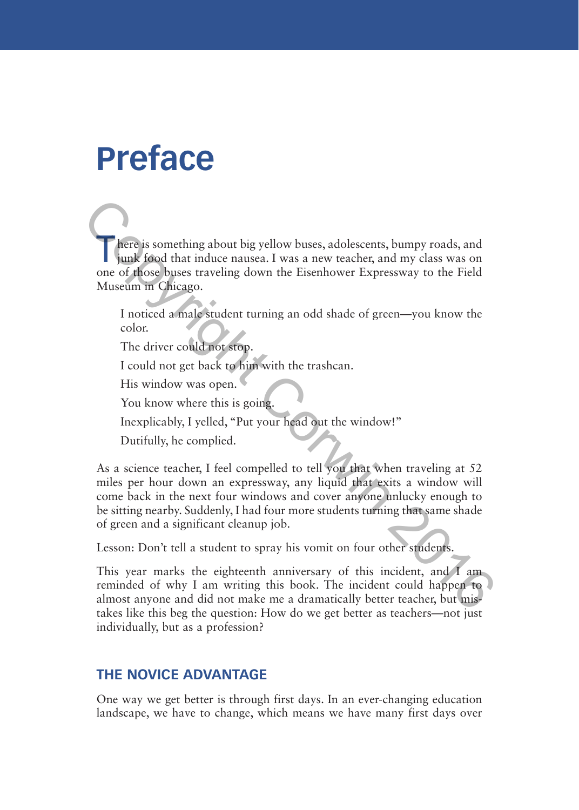# **Preface**

T here is something about big yellow buses, adolescents, bumpy roads, and junk food that induce nausea. I was a new teacher, and my class was on one of those buses traveling down the Eisenhower Expressway to the Field Museum in Chicago.

I noticed a male student turning an odd shade of green—you know the color.

The driver could not stop.

I could not get back to him with the trashcan.

His window was open.

You know where this is going.

Inexplicably, I yelled, "Put your head out the window!"

Dutifully, he complied.

As a science teacher, I feel compelled to tell you that when traveling at 52 miles per hour down an expressway, any liquid that exits a window will come back in the next four windows and cover anyone unlucky enough to be sitting nearby. Suddenly, I had four more students turning that same shade of green and a significant cleanup job. There is something about big yellow buses, adolescents, bumpy roads, and<br>
ignit food that induce nausea. I was a new teacher, and my class was on<br>
one of those buses traveling down the Eisenhower Expressway to the Field<br>
M

Lesson: Don't tell a student to spray his vomit on four other students.

This year marks the eighteenth anniversary of this incident, and I am reminded of why I am writing this book. The incident could happen to almost anyone and did not make me a dramatically better teacher, but mistakes like this beg the question: How do we get better as teachers—not just individually, but as a profession?

## **THE NOVICE ADVANTAGE**

One way we get better is through first days. In an ever-changing education landscape, we have to change, which means we have many first days over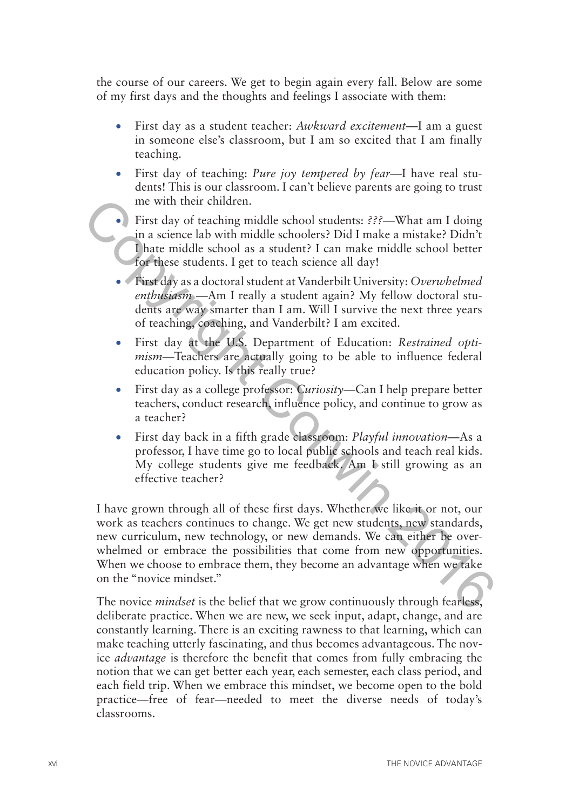the course of our careers. We get to begin again every fall. Below are some of my first days and the thoughts and feelings I associate with them:

- •• First day as a student teacher: *Awkward excitement*—I am a guest in someone else's classroom, but I am so excited that I am finally teaching.
- •• First day of teaching: *Pure joy tempered by fear*—I have real students! This is our classroom. I can't believe parents are going to trust me with their children.
- First day of teaching middle school students: ???—What am I doing in a science lab with middle schoolers? Did I make a mistake? Didn't I hate middle school as a student? I can make middle school better for these students. I get to teach science all day!
- •• First day as a doctoral student at Vanderbilt University: *Overwhelmed enthusiasm* —Am I really a student again? My fellow doctoral students are way smarter than I am. Will I survive the next three years of teaching, coaching, and Vanderbilt? I am excited.
- First day at the U.S. Department of Education: *Restrained optimism*—Teachers are actually going to be able to influence federal education policy. Is this really true?
- •• First day as a college professor: *Curiosity*—Can I help prepare better teachers, conduct research, influence policy, and continue to grow as a teacher?
- •• First day back in a fifth grade classroom: *Playful innovation*—As a professor, I have time go to local public schools and teach real kids. My college students give me feedback. Am I still growing as an effective teacher?

I have grown through all of these first days. Whether we like it or not, our work as teachers continues to change. We get new students, new standards, new curriculum, new technology, or new demands. We can either be overwhelmed or embrace the possibilities that come from new opportunities. When we choose to embrace them, they become an advantage when we take on the "novice mindset." **Positive Controllarism** (**Fig. 1)** First day of reaching middle school students:  $\frac{225}{125}$ —What am I doing<br>
in a science lab with middle schoolers? Did I make a mistake? Didn't<br> **Core these students.** I get to teach

The novice *mindset* is the belief that we grow continuously through fearless, deliberate practice. When we are new, we seek input, adapt, change, and are constantly learning. There is an exciting rawness to that learning, which can make teaching utterly fascinating, and thus becomes advantageous. The novice *advantage* is therefore the benefit that comes from fully embracing the notion that we can get better each year, each semester, each class period, and each field trip. When we embrace this mindset, we become open to the bold practice—free of fear—needed to meet the diverse needs of today's classrooms.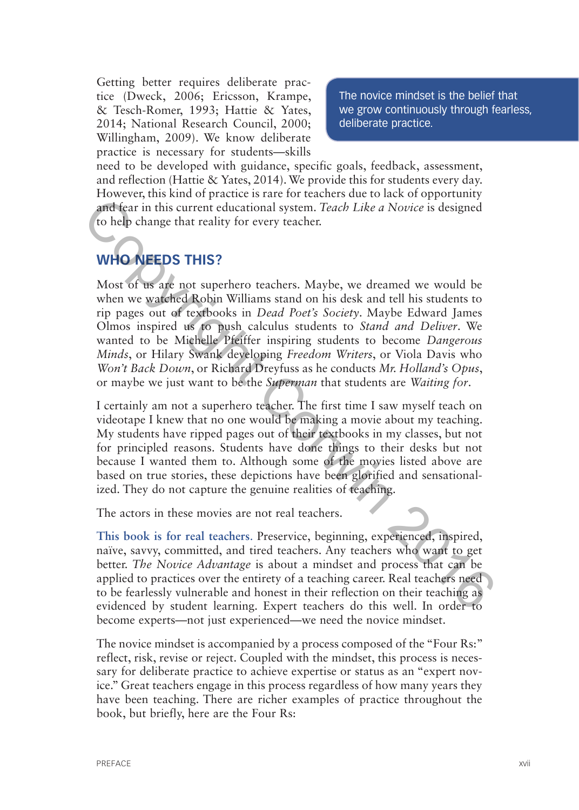Getting better requires deliberate practice (Dweck, 2006; Ericsson, Krampe, & Tesch-Romer, 1993; Hattie & Yates, 2014; National Research Council, 2000; Willingham, 2009). We know deliberate practice is necessary for students—skills

The novice mindset is the belief that we grow continuously through fearless, deliberate practice.

need to be developed with guidance, specific goals, feedback, assessment, and reflection (Hattie & Yates, 2014). We provide this for students every day. However, this kind of practice is rare for teachers due to lack of opportunity and fear in this current educational system. *Teach Like a Novice* is designed to help change that reality for every teacher.

## **WHO NEEDS THIS?**

Most of us are not superhero teachers. Maybe, we dreamed we would be when we watched Robin Williams stand on his desk and tell his students to rip pages out of textbooks in *Dead Poet's Society*. Maybe Edward James Olmos inspired us to push calculus students to *Stand and Deliver*. We wanted to be Michelle Pfeiffer inspiring students to become *Dangerous Minds*, or Hilary Swank developing *Freedom Writers*, or Viola Davis who *Won't Back Down*, or Richard Dreyfuss as he conducts *Mr. Holland's Opus*, or maybe we just want to be the *Superman* that students are *Waiting for*. **Example 12**<br> **Example 2016** and fear in this current educational system. Teach Like a Novice is designed<br>
to help change that reality for every teacher.<br>
MHO NEEDS THIS?<br>
MON OF the area sure and the properties of the sur

I certainly am not a superhero teacher. The first time I saw myself teach on videotape I knew that no one would be making a movie about my teaching. My students have ripped pages out of their textbooks in my classes, but not for principled reasons. Students have done things to their desks but not because I wanted them to. Although some of the movies listed above are based on true stories, these depictions have been glorified and sensationalized. They do not capture the genuine realities of teaching.

The actors in these movies are not real teachers.

**This book is for real teachers**. Preservice, beginning, experienced, inspired, naïve, savvy, committed, and tired teachers. Any teachers who want to get better. *The Novice Advantage* is about a mindset and process that can be applied to practices over the entirety of a teaching career. Real teachers need to be fearlessly vulnerable and honest in their reflection on their teaching as evidenced by student learning. Expert teachers do this well. In order to become experts—not just experienced—we need the novice mindset.

The novice mindset is accompanied by a process composed of the "Four Rs:" reflect, risk, revise or reject. Coupled with the mindset, this process is necessary for deliberate practice to achieve expertise or status as an "expert novice." Great teachers engage in this process regardless of how many years they have been teaching. There are richer examples of practice throughout the book, but briefly, here are the Four Rs: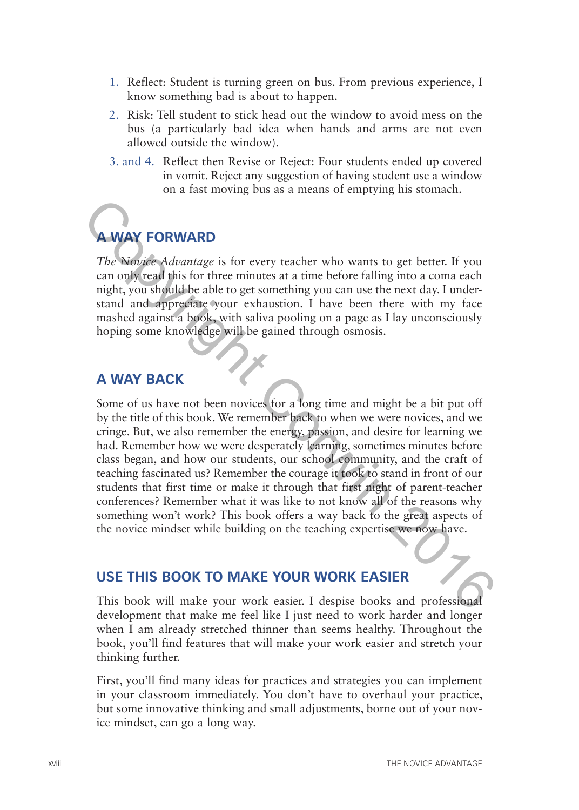- 1. Reflect: Student is turning green on bus. From previous experience, I know something bad is about to happen.
- 2. Risk: Tell student to stick head out the window to avoid mess on the bus (a particularly bad idea when hands and arms are not even allowed outside the window).
- 3. and 4. Reflect then Revise or Reject: Four students ended up covered in vomit. Reject any suggestion of having student use a window on a fast moving bus as a means of emptying his stomach.

## **WAY FORWARD**

*The Novice Advantage* is for every teacher who wants to get better. If you can only read this for three minutes at a time before falling into a coma each night, you should be able to get something you can use the next day. I understand and appreciate your exhaustion. I have been there with my face mashed against a book, with saliva pooling on a page as I lay unconsciously hoping some knowledge will be gained through osmosis.

### **A WAY BACK**

Some of us have not been novices for a long time and might be a bit put off by the title of this book. We remember back to when we were novices, and we cringe. But, we also remember the energy, passion, and desire for learning we had. Remember how we were desperately learning, sometimes minutes before class began, and how our students, our school community, and the craft of teaching fascinated us? Remember the courage it took to stand in front of our students that first time or make it through that first night of parent-teacher conferences? Remember what it was like to not know all of the reasons why something won't work? This book offers a way back to the great aspects of the novice mindset while building on the teaching expertise we now have. **Example 19**<br> **CORWARD**<br>
The Novice-Advantage is for every teacher who wants to get better. If you<br>
can only read this for three minutes at a time before falling into a coma each<br>
night, you should be able to get something

## **USE THIS BOOK TO MAKE YOUR WORK EASIER**

This book will make your work easier. I despise books and professional development that make me feel like I just need to work harder and longer when I am already stretched thinner than seems healthy. Throughout the book, you'll find features that will make your work easier and stretch your thinking further.

First, you'll find many ideas for practices and strategies you can implement in your classroom immediately. You don't have to overhaul your practice, but some innovative thinking and small adjustments, borne out of your novice mindset, can go a long way.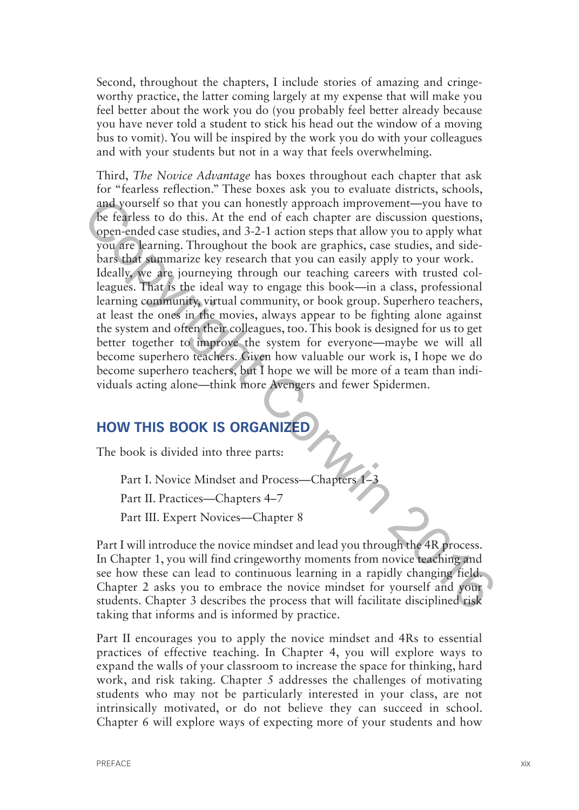Second, throughout the chapters, I include stories of amazing and cringeworthy practice, the latter coming largely at my expense that will make you feel better about the work you do (you probably feel better already because you have never told a student to stick his head out the window of a moving bus to vomit). You will be inspired by the work you do with your colleagues and with your students but not in a way that feels overwhelming.

Third, *The Novice Advantage* has boxes throughout each chapter that ask for "fearless reflection." These boxes ask you to evaluate districts, schools, and yourself so that you can honestly approach improvement—you have to be fearless to do this. At the end of each chapter are discussion questions, open-ended case studies, and 3-2-1 action steps that allow you to apply what you are learning. Throughout the book are graphics, case studies, and sidebars that summarize key research that you can easily apply to your work. Ideally, we are journeying through our teaching careers with trusted colleagues. That is the ideal way to engage this book—in a class, professional learning community, virtual community, or book group. Superhero teachers, at least the ones in the movies, always appear to be fighting alone against the system and often their colleagues, too. This book is designed for us to get better together to improve the system for everyone—maybe we will all become superhero teachers. Given how valuable our work is, I hope we do become superhero teachers, but I hope we will be more of a team than individuals acting alone—think more Avengers and fewer Spidermen. and yourself so that you can honestly approach improvement—you have to<br>
to fealens to do this. At the end of each chapter are discussion questions,<br>
open-ended case studies, and 3-2-1 action steps that allow you to apply w

### **HOW THIS BOOK IS ORGANIZED**

The book is divided into three parts:

Part I. Novice Mindset and Process—Chapters 1–3

Part II. Practices—Chapters 4–7

Part III. Expert Novices—Chapter 8

Part I will introduce the novice mindset and lead you through the 4R process. In Chapter 1, you will find cringeworthy moments from novice teaching and see how these can lead to continuous learning in a rapidly changing field. Chapter 2 asks you to embrace the novice mindset for yourself and your students. Chapter 3 describes the process that will facilitate disciplined risk taking that informs and is informed by practice.

Part II encourages you to apply the novice mindset and 4Rs to essential practices of effective teaching. In Chapter 4, you will explore ways to expand the walls of your classroom to increase the space for thinking, hard work, and risk taking. Chapter 5 addresses the challenges of motivating students who may not be particularly interested in your class, are not intrinsically motivated, or do not believe they can succeed in school. Chapter 6 will explore ways of expecting more of your students and how